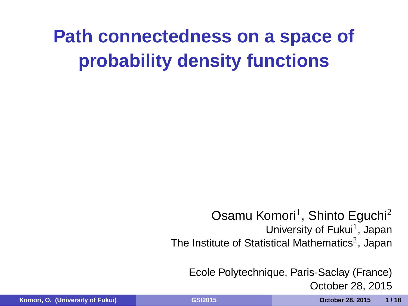## **Path connectedness on a space of probability density functions**

Osamu Komori<sup>1</sup>, Shinto Eguchi<sup>2</sup> University of Fukui<sup>1</sup>, Japan The Institute of Statistical Mathematics<sup>2</sup>, Japan

Ecole Polytechnique, Paris-Saclay (France) October 28, 2015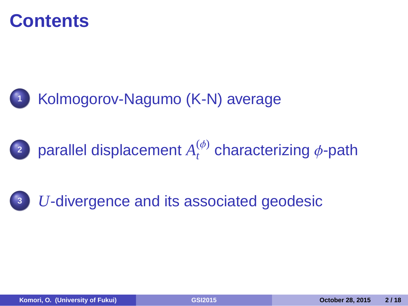### **Contents**



**2** parallel displacement  $A_t^{(\phi)}$ *t* characterizing ϕ-path

**<sup>3</sup>** *U*-divergence and its associated geodesic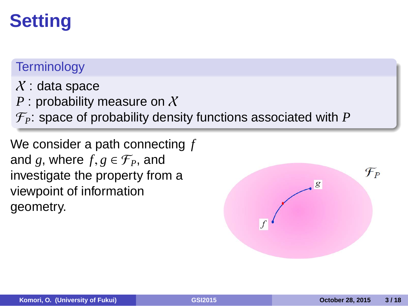## **Setting**

### **Terminology**

 $X$ : data space

- *P* : probability measure on X
- . F*P*: space of probability density functions associated with *P*

investigate the property from a We consider a path connecting *f* and *g*, where  $f, g \in \mathcal{F}_P$ , and viewpoint of information geometry.

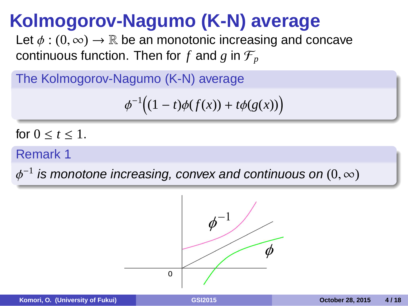### **Kolmogorov-Nagumo (K-N) average**

Let  $\phi : (0, \infty) \to \mathbb{R}$  be an monotonic increasing and concave continuous function. Then for  $f$  and  $g$  in  $\mathcal{F}_p$ 

The Kolmogorov-Nagumo (K-N) average

$$
\phi^{-1}\big((1-t)\phi(f(x))+t\phi(g(x))\big)
$$

for  $0 \le t \le 1$ .

**Remark 1 Remark 1** *Remark 1* 

 $\phi^{-1}$  is monotone increasing, convex and continuous on  $(0,\infty)$ 



.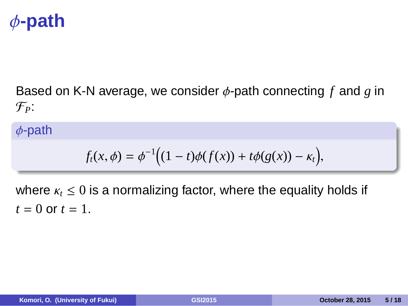# ϕ**-path**

Based on K-N average, we consider ϕ-path connecting *f* and *g* in F*P*:

ϕ-path

 $f_t(x, \phi) = \phi^{-1}((1-t)\phi(f(x)) + t\phi(g(x)) - \kappa_t),$ 

where  $\kappa_t \leq 0$  is a normalizing factor, where the equality holds if  $t = 0$  or  $t = 1$ .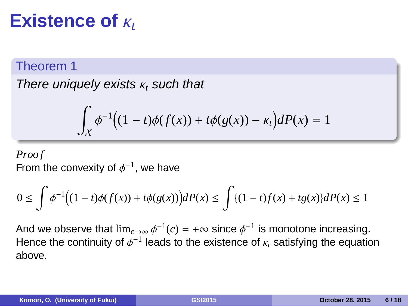### **Existence of**  $κ_t$

### Theorem 1

There uniquely exists  $\kappa_t$  such that

$$
\int_X \phi^{-1}\big((1-t)\phi(f(x))+t\phi(g(x))-\kappa_t\big)dP(x)=1
$$

*Proo f*

From the convexity of  $\phi^{-1}$ , we have

$$
0 \le \int \phi^{-1} \Big( (1-t)\phi(f(x)) + t\phi(g(x)) \Big) dP(x) \le \int \{ (1-t)f(x) + tg(x) \} dP(x) \le 1
$$

And we observe that  $\lim_{c\to\infty}\phi^{-1}(c)=+\infty$  since  $\phi^{-1}$  is monotone increasing. Hence the continuity of  $\phi^{-1}$  leads to the existence of  $\kappa_t$  satisfying the equation above.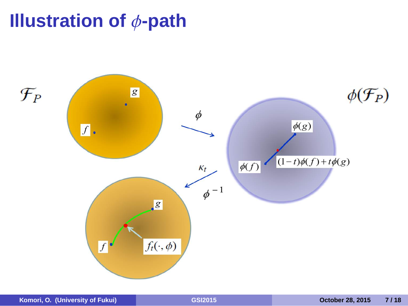

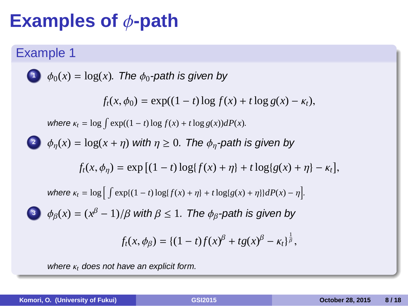# **Examples of** ϕ**-path**

Example 1

\n**1** 
$$
\phi_0(x) = \log(x)
$$
. The  $\phi_0$ -path is given by

\n
$$
f_i(x, \phi_0) = \exp((1-t)\log f(x) + t\log g(x) - \kappa_t),
$$
\nwhere  $\kappa_t = \log \int \exp((1-t)\log f(x) + t\log g(x))dP(x)$ .

\n**2**  $\phi_{\eta}(x) = \log(x + \eta)$  with  $\eta \geq 0$ . The  $\phi_{\eta}$ -path is given by

\n
$$
f_i(x, \phi_{\eta}) = \exp \left[ (1-t)\log\{f(x) + \eta\} + t\log\{g(x) + \eta\} - \kappa_t \right],
$$
\nwhere  $\kappa_t = \log \left[ \int \exp((1-t)\log\{f(x) + \eta\} + t\log\{g(x) + \eta\})dP(x) - \eta \right]$ .

\n**3**  $\phi_{\beta}(x) = (x^{\beta} - 1)/\beta$  with  $\beta \leq 1$ . The  $\phi_{\beta}$ -path is given by

\n
$$
f_i(x, \phi_{\beta}) = \{(1-t)f(x)^{\beta} + tg(x)^{\beta} - \kappa_t\}^{\frac{1}{\beta}},
$$
\nwhere  $\kappa_t$  does not have an explicit form.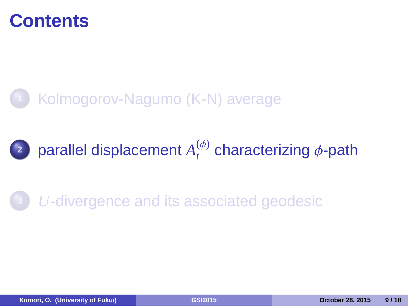### **Contents**



**2** parallel displacement  $A_t^{(\phi)}$ *t* characterizing ϕ-path

**<sup>3</sup>** *U*-divergence and its associated geodesic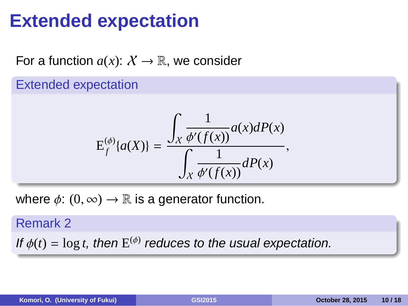## **Extended expectation**

For a function  $a(x)$ :  $X \to \mathbb{R}$ , we consider

Extended expectation

$$
E_f^{(\phi)}\{a(X)\} = \frac{\int_X \frac{1}{\phi'(f(x))} a(x) dP(x)}{\int_X \frac{1}{\phi'(f(x))} dP(x)},
$$

where  $\phi: (0, \infty) \to \mathbb{R}$  is a generator function.

Remark 2 If  $\phi(t) = \log t$ , then  $E^{(\phi)}$  reduces to the usual expectation.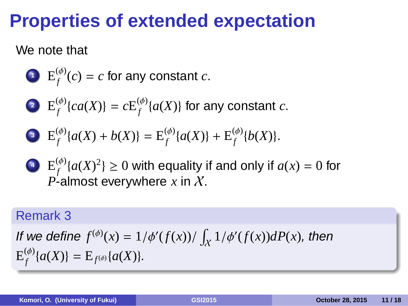### **Properties of extended expectation**

#### We note that

- **1**  $E_f^{(\phi)}$  $f_f^{(p)}(c) = c$  for any constant  $c$ .
- **2**  $E_f^{(\phi)}$  $f_f^{(\phi)}\{ca(X)\} = cE_f^{(\phi)}$  $f_f^{(\phi)}\{a(X)\}$  for any constant  $c.$

• 
$$
E_f^{(\phi)}\{a(X) + b(X)\} = E_f^{(\phi)}\{a(X)\} + E_f^{(\phi)}\{b(X)\}.
$$

**4**  $E_f^{(\phi)}$  $f_f^{(\phi)}\{a(X)^2\}\geq 0$  with equality if and only if  $a(x)=0$  for  $P$ -almost everywhere  $x$  in  $X$ .

### Remark 3

If we define  $f^{(\phi)}(x) = 1/\phi'(f(x))/\int_X 1/\phi'(f(x))dP(x)$ , then  $\operatorname{E}_\epsilon^{(\phi)}$  $f_f^{(\phi)}\{a(X)\} = \mathrm{E}_{f^{(\phi)}}\{a(X)\}.$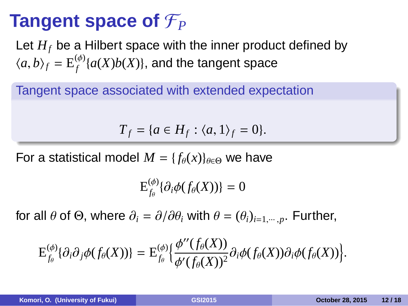## **Tangent space of**  $\mathcal{F}_P$

Let *H<sup>f</sup>* be a Hilbert space with the inner product defined by  $\langle a,b\rangle_f = \mathcal{E}_f^{(\phi)}$  $f_f^{(\phi)}\{a(X)b(X)\},$  and the tangent space

Tangent space associated with extended expectation

$$
T_f = \{a \in H_f : \langle a, 1 \rangle_f = 0\}.
$$

For a statistical model  $M = \{f_{\theta}(x)\}_{\theta \in \Theta}$  we have

$$
\mathrm{E}^{(\phi)}_{f_\theta}\{\partial_i \phi(f_\theta(X))\}=0
$$

for all  $\theta$  of  $\Theta$ , where  $\partial_i = \partial/\partial \theta_i$  with  $\theta = (\theta_i)_{i=1,\dots,p}$ . Further,

$$
\mathrm{E}^{(\phi)}_{f_{\theta}}\{\partial_i \partial_j \phi(f_{\theta}(X))\} = \mathrm{E}^{(\phi)}_{f_{\theta}}\Big\{\frac{\phi^{\prime\prime}(f_{\theta}(X))}{\phi^\prime(f_{\theta}(X))^2}\partial_i \phi(f_{\theta}(X))\partial_i \phi(f_{\theta}(X))\Big\}.
$$

.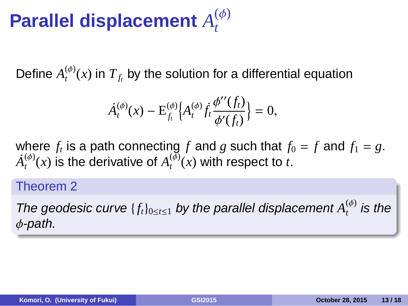#### **Parallel displacement**  $A_t^{(\phi)}$ *t*

Define  $A_t^{(\phi)}$  $T_f^{(\varphi)}(x)$  in  $T_{f_t}$  by the solution for a differential equation

$$
\dot{A}_t^{(\phi)}(x) - \mathbf{E}_{f_t}^{(\phi)} \Big\{ A_t^{(\phi)} \dot{f}_t \frac{\phi^{\prime \prime}(f_t)}{\phi^\prime(f_t)} \Big\} = 0,
$$

where  $f_t$  is a path connecting  $f$  and  $g$  such that  $f_0 = f$  and  $f_1 = g$ .  $\dot{A}_t^{(\phi)}$  $t^{(\phi)}(x)$  is the derivative of  $A_t^{(\bar{\phi})}$  $t_t^{(\varphi)}(x)$  with respect to *t*.

### Theorem 2

The geodesic curve  $\{f_t\}_{0\leq t\leq 1}$  by the parallel displacement  $A_t^{(\phi)}$  $t_t^{(\phi)}$  is the ϕ-path.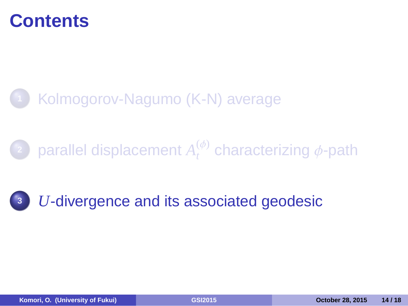### **Contents**



**2** parallel displacement  $A_t^{(\phi)}$ *t* characterizing ϕ-path

**<sup>3</sup>** *U*-divergence and its associated geodesic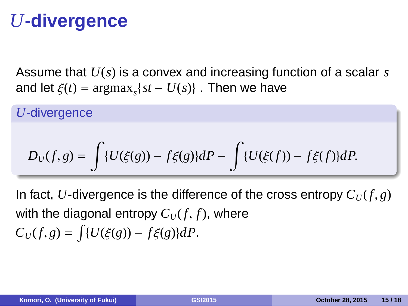### *U***-divergence**

Assume that *U*(*s*) is a convex and increasing function of a scalar *s* and let  $\xi(t) = \text{argmax}_s \{ st - U(s) \}$ . Then we have

*U*-divergence

$$
D_U(f,g) = \int \{U(\xi(g)) - f\xi(g)\}dP - \int \{U(\xi(f)) - f\xi(f)\}dP.
$$

In fact, *U*-divergence is the difference of the cross entropy  $C_U(f, g)$ with the diagonal entropy  $C_U(f, f)$ , where  $C_U(f, g) = \int \{U(\xi(g)) - f\xi(g)\}dP.$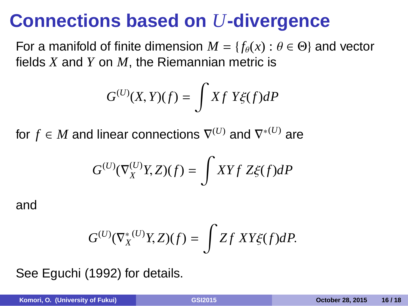### **Connections based on** *U***-divergence**

For a manifold of finite dimension  $M = \{f_\theta(x) : \theta \in \Theta\}$  and vector fields *X* and *Y* on *M*, the Riemannian metric is

$$
G^{(U)}(X,Y)(f) = \int Xf\ Y\xi(f)dP
$$

for  $f \in M$  and linear connections  $\nabla^{(U)}$  and  $\nabla^{*(U)}$  are

$$
G^{(U)}(\nabla^{(U)}_XY,Z)(f)=\int XYf\;Z\xi(f)dP
$$

and

$$
G^{(U)}(\nabla_X^{*(U)}Y,Z)(f) = \int Zf XY\xi(f)dP.
$$

See Eguchi (1992) for details.

**Komori, O. (University of Fukui) GSI2015 October 28, 2015 16 / 18**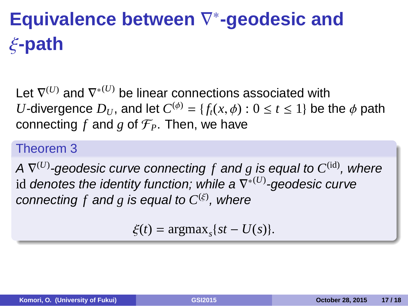## **Equivalence between** ∇ ∗ **-geodesic and** ξ**-path**

Let  $\nabla^{(U)}$  and  $\nabla^{*(U)}$  be linear connections associated with *U*-divergence  $D_U$ , and let  $C^{(\phi)} = \{f_t(x, \phi) : 0 \le t \le 1\}$  be the  $\phi$  path connecting  $f$  and  $g$  of  $\mathcal{F}_P$ . Then, we have

#### Theorem 3

A  $\nabla^{(U)}$ -geodesic curve connecting  $f$  and  $g$  is equal to  $C^{\rm (id)}$ , where id denotes the identity function; while a ∇ ∗(*U*) -geodesic curve connecting f and  $g$  is equal to  $C^{(\xi)}$ , where

 $\xi(t) = \text{argmax}_s \{ st - U(s) \}.$